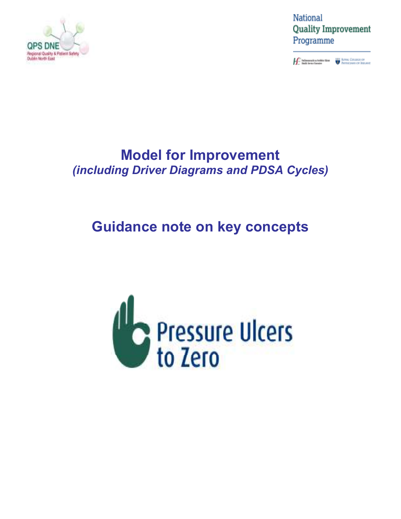

National **Quality Improvement** Programme

**Constitution of the Constitution Constitution Constitution Constitution Constitution Constitution Constitution Constitution Constitution Constitution Constitution Constitution Constitution Constitution Constitution Consti** 

## **Model for Improvement**  *(including Driver Diagrams and PDSA Cycles)*

# **Guidance note on key concepts**

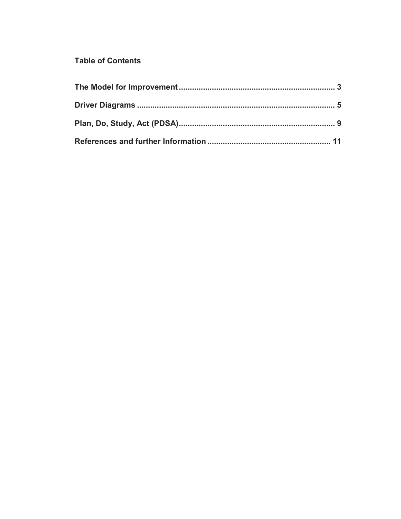## **Table of Contents**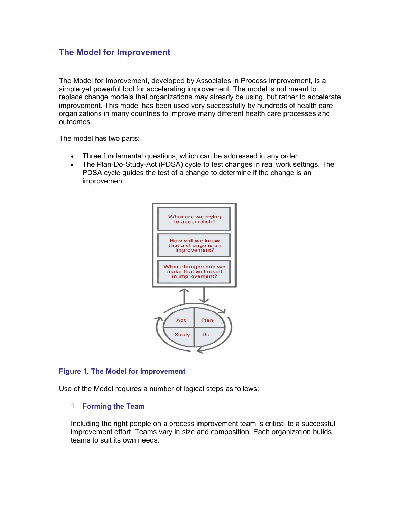### **The Model for Improvement**

The Model for Improvement, developed by Associates in Process Improvement, is a simple yet powerful tool for accelerating improvement. The model is not meant to replace change models that organizations may already be using, but rather to accelerate improvement. This model has been used very successfully by hundreds of health care organizations in many countries to improve many different health care processes and outcomes.

The model has two parts:

- Three fundamental questions, which can be addressed in any order.
- The Plan-Do-Study-Act (PDSA) cycle to test changes in real work settings. The PDSA cycle guides the test of a change to determine if the change is an improvement.



#### **Figure 1. The Model for Improvement**

Use of the Model requires a number of logical steps as follows;

#### 1. **Forming the Team**

Including the right people on a process improvement team is critical to a successful improvement effort. Teams vary in size and composition. Each organization builds teams to suit its own needs.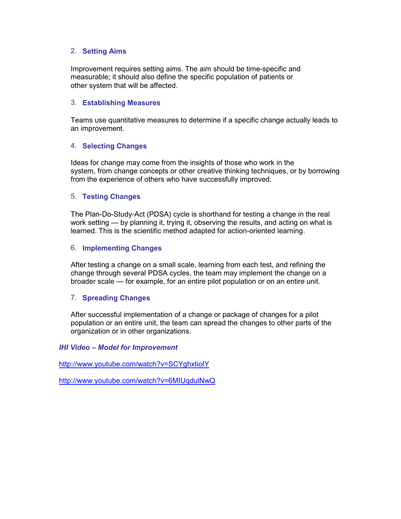#### 2. **Setting Aims**

Improvement requires setting aims. The aim should be time-specific and measurable; it should also define the specific population of patients or other system that will be affected.

#### 3. **Establishing Measures**

Teams use quantitative measures to determine if a specific change actually leads to an improvement.

#### 4. **Selecting Changes**

Ideas for change may come from the insights of those who work in the system, from change concepts or other creative thinking techniques, or by borrowing from the experience of others who have successfully improved.

#### 5. **Testing Changes**

The Plan-Do-Study-Act (PDSA) cycle is shorthand for testing a change in the real work setting — by planning it, trying it, observing the results, and acting on what is learned. This is the scientific method adapted for action-oriented learning.

#### 6. **Implementing Changes**

After testing a change on a small scale, learning from each test, and refining the change through several PDSA cycles, the team may implement the change on a broader scale — for example, for an entire pilot population or on an entire unit.

#### 7. **Spreading Changes**

After successful implementation of a change or package of changes for a pilot population or an entire unit, the team can spread the changes to other parts of the organization or in other organizations.

#### *IHI Video – Model for Improvement*

http://www.youtube.com/watch?v=SCYghxtioIY

http://www.youtube.com/watch?v=6MIUqdulNwQ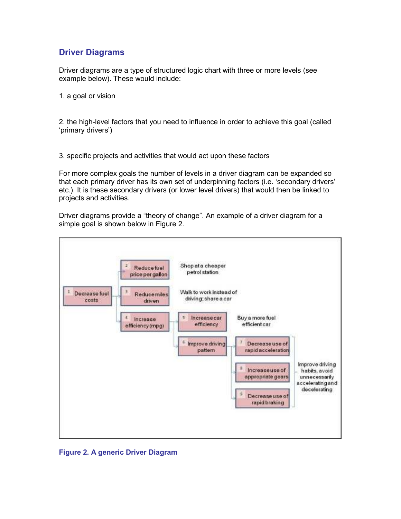## **Driver Diagrams**

Driver diagrams are a type of structured logic chart with three or more levels (see example below). These would include:

1. a goal or vision

2. the high-level factors that you need to influence in order to achieve this goal (called 'primary drivers')

3. specific projects and activities that would act upon these factors

For more complex goals the number of levels in a driver diagram can be expanded so that each primary driver has its own set of underpinning factors (i.e. 'secondary drivers' etc.). It is these secondary drivers (or lower level drivers) that would then be linked to projects and activities.

Driver diagrams provide a "theory of change". An example of a driver diagram for a simple goal is shown below in Figure 2.



**Figure 2. A generic Driver Diagram**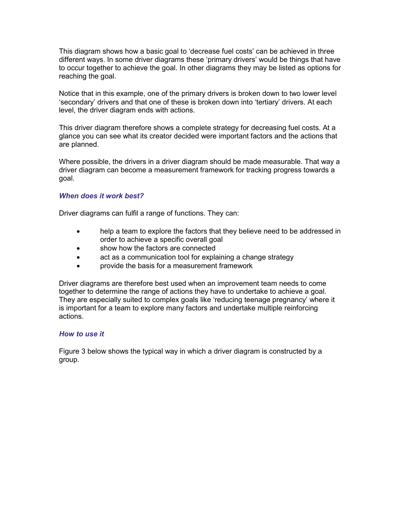This diagram shows how a basic goal to 'decrease fuel costs' can be achieved in three different ways. In some driver diagrams these 'primary drivers' would be things that have to occur together to achieve the goal. In other diagrams they may be listed as options for reaching the goal.

Notice that in this example, one of the primary drivers is broken down to two lower level 'secondary' drivers and that one of these is broken down into 'tertiary' drivers. At each level, the driver diagram ends with actions.

This driver diagram therefore shows a complete strategy for decreasing fuel costs. At a glance you can see what its creator decided were important factors and the actions that are planned.

Where possible, the drivers in a driver diagram should be made measurable. That way a driver diagram can become a measurement framework for tracking progress towards a goal.

#### *When does it work best?*

Driver diagrams can fulfil a range of functions. They can:

- help a team to explore the factors that they believe need to be addressed in order to achieve a specific overall goal
- show how the factors are connected
- act as a communication tool for explaining a change strategy
- provide the basis for a measurement framework

Driver diagrams are therefore best used when an improvement team needs to come together to determine the range of actions they have to undertake to achieve a goal. They are especially suited to complex goals like 'reducing teenage pregnancy' where it is important for a team to explore many factors and undertake multiple reinforcing actions.

#### *How to use it*

Figure 3 below shows the typical way in which a driver diagram is constructed by a group.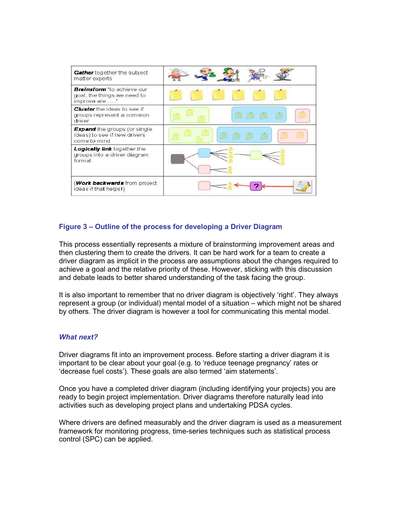| Gather together the subject<br>matter experts                                       |  |  |
|-------------------------------------------------------------------------------------|--|--|
| <b>Brainstorm</b> "to achieve our<br>goal, the things we need to<br>improve are "   |  |  |
| <b>Cluster</b> the ideas to see if<br>groups represent a common<br>driver           |  |  |
| <b>Expand</b> the groups (or single<br>ideas) to see if new drivers<br>come to mind |  |  |
| Logically link together the<br>groups into a driver diagram<br>format               |  |  |
| ( <b>Work backwards</b> from project<br>ideas if that helps!)                       |  |  |

#### **Figure 3 – Outline of the process for developing a Driver Diagram**

This process essentially represents a mixture of brainstorming improvement areas and then clustering them to create the drivers. It can be hard work for a team to create a driver diagram as implicit in the process are assumptions about the changes required to achieve a goal and the relative priority of these. However, sticking with this discussion and debate leads to better shared understanding of the task facing the group.

It is also important to remember that no driver diagram is objectively 'right'. They always represent a group (or individual) mental model of a situation – which might not be shared by others. The driver diagram is however a tool for communicating this mental model.

#### *What next?*

Driver diagrams fit into an improvement process. Before starting a driver diagram it is important to be clear about your goal (e.g. to 'reduce teenage pregnancy' rates or 'decrease fuel costs'). These goals are also termed 'aim statements'.

Once you have a completed driver diagram (including identifying your projects) you are ready to begin project implementation. Driver diagrams therefore naturally lead into activities such as developing project plans and undertaking PDSA cycles.

Where drivers are defined measurably and the driver diagram is used as a measurement framework for monitoring progress, time-series techniques such as statistical process control (SPC) can be applied.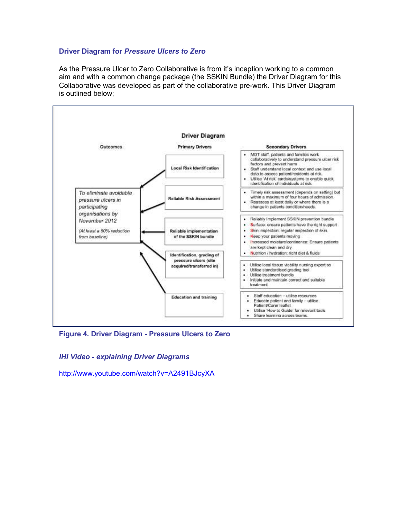#### **Driver Diagram for** *Pressure Ulcers to Zero*

As the Pressure Ulcer to Zero Collaborative is from it's inception working to a common aim and with a common change package (the SSKIN Bundle) the Driver Diagram for this Collaborative was developed as part of the collaborative pre-work. This Driver Diagram is outlined below;



**Figure 4. Driver Diagram - Pressure Ulcers to Zero**

*IHI Video - explaining Driver Diagrams* 

http://www.youtube.com/watch?v=A2491BJcyXA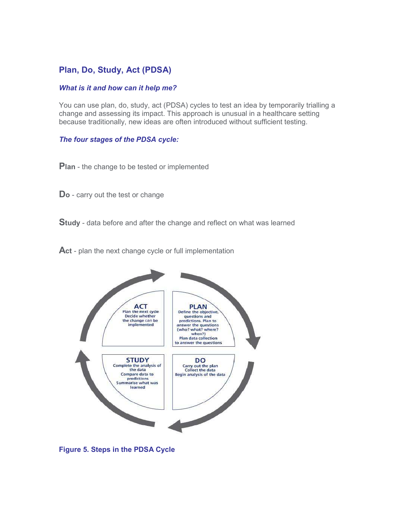## **Plan, Do, Study, Act (PDSA)**

#### *What is it and how can it help me?*

You can use plan, do, study, act (PDSA) cycles to test an idea by temporarily trialling a change and assessing its impact. This approach is unusual in a healthcare setting because traditionally, new ideas are often introduced without sufficient testing.

#### *The four stages of the PDSA cycle:*

**Plan** - the change to be tested or implemented

**Do** - carry out the test or change

**Study** - data before and after the change and reflect on what was learned

**Act** - plan the next change cycle or full implementation



**Figure 5. Steps in the PDSA Cycle**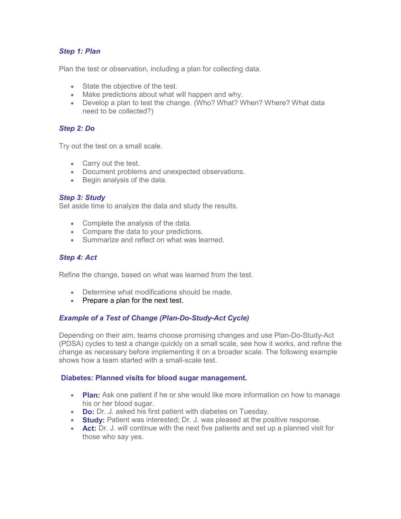#### *Step 1: Plan*

Plan the test or observation, including a plan for collecting data.

- State the objective of the test.
- Make predictions about what will happen and why.
- Develop a plan to test the change. (Who? What? When? Where? What data need to be collected?)

#### *Step 2: Do*

Try out the test on a small scale.

- Carry out the test.
- Document problems and unexpected observations.
- Begin analysis of the data.

#### *Step 3: Study*

Set aside time to analyze the data and study the results.

- Complete the analysis of the data.
- Compare the data to your predictions.
- Summarize and reflect on what was learned.

#### *Step 4: Act*

Refine the change, based on what was learned from the test.

- Determine what modifications should be made.
- Prepare a plan for the next test.

#### *Example of a Test of Change (Plan-Do-Study-Act Cycle)*

Depending on their aim, teams choose promising changes and use Plan-Do-Study-Act (PDSA) cycles to test a change quickly on a small scale, see how it works, and refine the change as necessary before implementing it on a broader scale. The following example shows how a team started with a small-scale test.

#### **Diabetes: Planned visits for blood sugar management.**

- **Plan:** Ask one patient if he or she would like more information on how to manage his or her blood sugar.
- **Do:** Dr. J. asked his first patient with diabetes on Tuesday.
- **Study:** Patient was interested: Dr. J. was pleased at the positive response.
- **Act:** Dr. J. will continue with the next five patients and set up a planned visit for those who say yes.